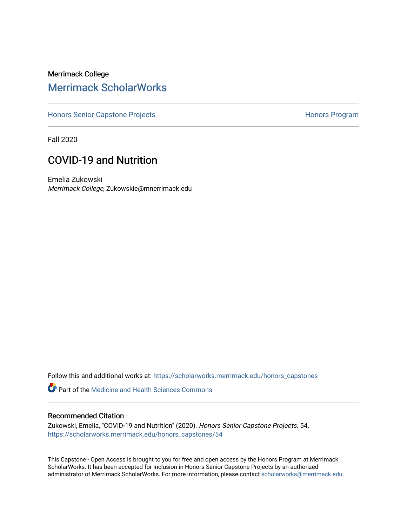# Merrimack College [Merrimack ScholarWorks](https://scholarworks.merrimack.edu/)

[Honors Senior Capstone Projects](https://scholarworks.merrimack.edu/honors_capstones) **Honors Program** Honors Program

Fall 2020

# COVID-19 and Nutrition

Emelia Zukowski Merrimack College, Zukowskie@mnerrimack.edu

Follow this and additional works at: [https://scholarworks.merrimack.edu/honors\\_capstones](https://scholarworks.merrimack.edu/honors_capstones?utm_source=scholarworks.merrimack.edu%2Fhonors_capstones%2F54&utm_medium=PDF&utm_campaign=PDFCoverPages)

**C** Part of the Medicine and Health Sciences Commons

# Recommended Citation

Zukowski, Emelia, "COVID-19 and Nutrition" (2020). Honors Senior Capstone Projects. 54. [https://scholarworks.merrimack.edu/honors\\_capstones/54](https://scholarworks.merrimack.edu/honors_capstones/54?utm_source=scholarworks.merrimack.edu%2Fhonors_capstones%2F54&utm_medium=PDF&utm_campaign=PDFCoverPages) 

This Capstone - Open Access is brought to you for free and open access by the Honors Program at Merrimack ScholarWorks. It has been accepted for inclusion in Honors Senior Capstone Projects by an authorized administrator of Merrimack ScholarWorks. For more information, please contact [scholarworks@merrimack.edu](mailto:scholarworks@merrimack.edu).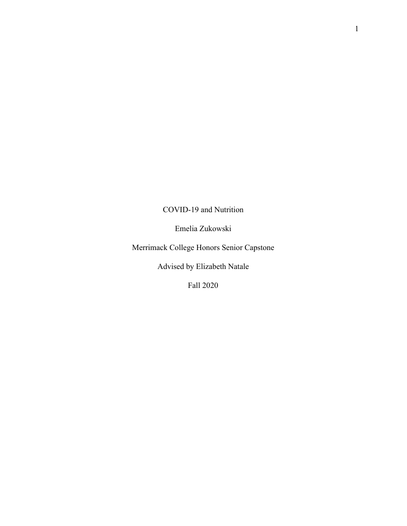# COVID-19 and Nutrition

Emelia Zukowski

Merrimack College Honors Senior Capstone

Advised by Elizabeth Natale

Fall 2020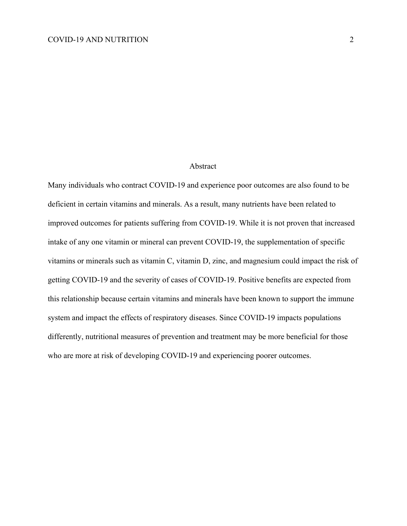# Abstract

Many individuals who contract COVID-19 and experience poor outcomes are also found to be deficient in certain vitamins and minerals. As a result, many nutrients have been related to improved outcomes for patients suffering from COVID-19. While it is not proven that increased intake of any one vitamin or mineral can prevent COVID-19, the supplementation of specific vitamins or minerals such as vitamin C, vitamin D, zinc, and magnesium could impact the risk of getting COVID-19 and the severity of cases of COVID-19. Positive benefits are expected from this relationship because certain vitamins and minerals have been known to support the immune system and impact the effects of respiratory diseases. Since COVID-19 impacts populations differently, nutritional measures of prevention and treatment may be more beneficial for those who are more at risk of developing COVID-19 and experiencing poorer outcomes.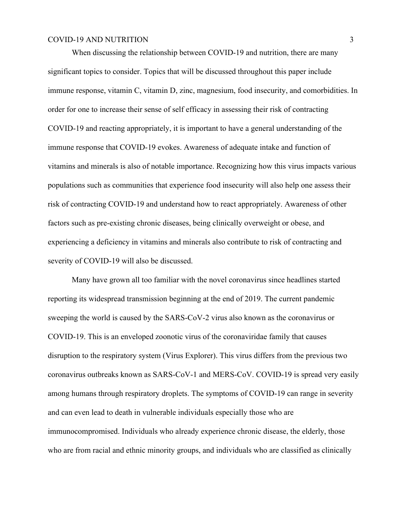When discussing the relationship between COVID-19 and nutrition, there are many significant topics to consider. Topics that will be discussed throughout this paper include immune response, vitamin C, vitamin D, zinc, magnesium, food insecurity, and comorbidities. In order for one to increase their sense of self efficacy in assessing their risk of contracting COVID-19 and reacting appropriately, it is important to have a general understanding of the immune response that COVID-19 evokes. Awareness of adequate intake and function of vitamins and minerals is also of notable importance. Recognizing how this virus impacts various populations such as communities that experience food insecurity will also help one assess their risk of contracting COVID-19 and understand how to react appropriately. Awareness of other factors such as pre-existing chronic diseases, being clinically overweight or obese, and experiencing a deficiency in vitamins and minerals also contribute to risk of contracting and severity of COVID-19 will also be discussed.

Many have grown all too familiar with the novel coronavirus since headlines started reporting its widespread transmission beginning at the end of 2019. The current pandemic sweeping the world is caused by the SARS-CoV-2 virus also known as the coronavirus or COVID-19. This is an enveloped zoonotic virus of the coronaviridae family that causes disruption to the respiratory system (Virus Explorer). This virus differs from the previous two coronavirus outbreaks known as SARS-CoV-1 and MERS-CoV. COVID-19 is spread very easily among humans through respiratory droplets. The symptoms of COVID-19 can range in severity and can even lead to death in vulnerable individuals especially those who are immunocompromised. Individuals who already experience chronic disease, the elderly, those who are from racial and ethnic minority groups, and individuals who are classified as clinically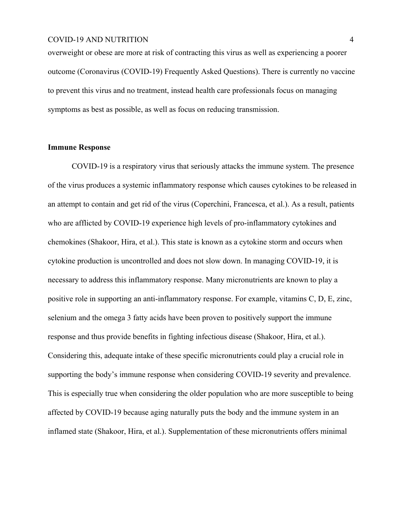overweight or obese are more at risk of contracting this virus as well as experiencing a poorer outcome (Coronavirus (COVID-19) Frequently Asked Questions). There is currently no vaccine to prevent this virus and no treatment, instead health care professionals focus on managing symptoms as best as possible, as well as focus on reducing transmission.

# **Immune Response**

COVID-19 is a respiratory virus that seriously attacks the immune system. The presence of the virus produces a systemic inflammatory response which causes cytokines to be released in an attempt to contain and get rid of the virus (Coperchini, Francesca, et al.). As a result, patients who are afflicted by COVID-19 experience high levels of pro-inflammatory cytokines and chemokines (Shakoor, Hira, et al.). This state is known as a cytokine storm and occurs when cytokine production is uncontrolled and does not slow down. In managing COVID-19, it is necessary to address this inflammatory response. Many micronutrients are known to play a positive role in supporting an anti-inflammatory response. For example, vitamins C, D, E, zinc, selenium and the omega 3 fatty acids have been proven to positively support the immune response and thus provide benefits in fighting infectious disease (Shakoor, Hira, et al.). Considering this, adequate intake of these specific micronutrients could play a crucial role in supporting the body's immune response when considering COVID-19 severity and prevalence. This is especially true when considering the older population who are more susceptible to being affected by COVID-19 because aging naturally puts the body and the immune system in an inflamed state (Shakoor, Hira, et al.). Supplementation of these micronutrients offers minimal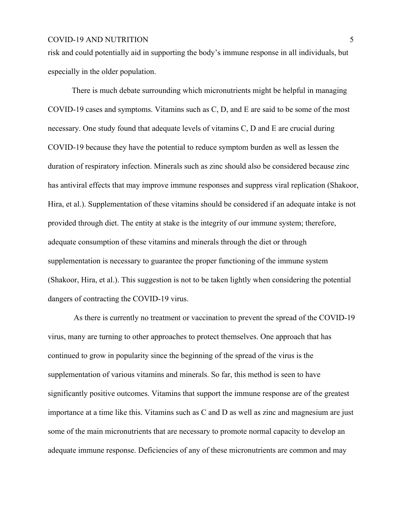risk and could potentially aid in supporting the body's immune response in all individuals, but especially in the older population.

There is much debate surrounding which micronutrients might be helpful in managing COVID-19 cases and symptoms. Vitamins such as C, D, and E are said to be some of the most necessary. One study found that adequate levels of vitamins C, D and E are crucial during COVID-19 because they have the potential to reduce symptom burden as well as lessen the duration of respiratory infection. Minerals such as zinc should also be considered because zinc has antiviral effects that may improve immune responses and suppress viral replication (Shakoor, Hira, et al.). Supplementation of these vitamins should be considered if an adequate intake is not provided through diet. The entity at stake is the integrity of our immune system; therefore, adequate consumption of these vitamins and minerals through the diet or through supplementation is necessary to guarantee the proper functioning of the immune system (Shakoor, Hira, et al.). This suggestion is not to be taken lightly when considering the potential dangers of contracting the COVID-19 virus.

 As there is currently no treatment or vaccination to prevent the spread of the COVID-19 virus, many are turning to other approaches to protect themselves. One approach that has continued to grow in popularity since the beginning of the spread of the virus is the supplementation of various vitamins and minerals. So far, this method is seen to have significantly positive outcomes. Vitamins that support the immune response are of the greatest importance at a time like this. Vitamins such as C and D as well as zinc and magnesium are just some of the main micronutrients that are necessary to promote normal capacity to develop an adequate immune response. Deficiencies of any of these micronutrients are common and may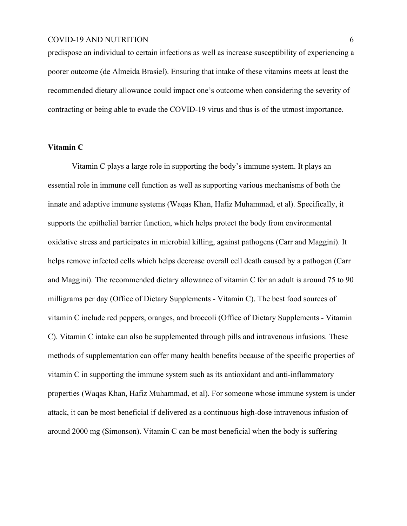predispose an individual to certain infections as well as increase susceptibility of experiencing a poorer outcome (de Almeida Brasiel). Ensuring that intake of these vitamins meets at least the recommended dietary allowance could impact one's outcome when considering the severity of contracting or being able to evade the COVID-19 virus and thus is of the utmost importance.

# **Vitamin C**

Vitamin C plays a large role in supporting the body's immune system. It plays an essential role in immune cell function as well as supporting various mechanisms of both the innate and adaptive immune systems (Waqas Khan, Hafiz Muhammad, et al). Specifically, it supports the epithelial barrier function, which helps protect the body from environmental oxidative stress and participates in microbial killing, against pathogens (Carr and Maggini). It helps remove infected cells which helps decrease overall cell death caused by a pathogen (Carr and Maggini). The recommended dietary allowance of vitamin C for an adult is around 75 to 90 milligrams per day (Office of Dietary Supplements - Vitamin C). The best food sources of vitamin C include red peppers, oranges, and broccoli (Office of Dietary Supplements - Vitamin C). Vitamin C intake can also be supplemented through pills and intravenous infusions. These methods of supplementation can offer many health benefits because of the specific properties of vitamin C in supporting the immune system such as its antioxidant and anti-inflammatory properties (Waqas Khan, Hafiz Muhammad, et al). For someone whose immune system is under attack, it can be most beneficial if delivered as a continuous high-dose intravenous infusion of around 2000 mg (Simonson). Vitamin C can be most beneficial when the body is suffering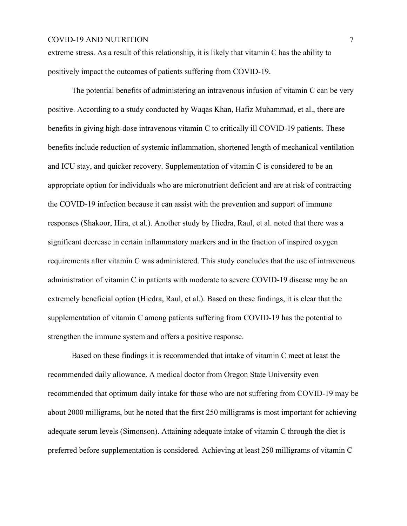extreme stress. As a result of this relationship, it is likely that vitamin C has the ability to positively impact the outcomes of patients suffering from COVID-19.

The potential benefits of administering an intravenous infusion of vitamin C can be very positive. According to a study conducted by Waqas Khan, Hafiz Muhammad, et al., there are benefits in giving high-dose intravenous vitamin C to critically ill COVID-19 patients. These benefits include reduction of systemic inflammation, shortened length of mechanical ventilation and ICU stay, and quicker recovery. Supplementation of vitamin C is considered to be an appropriate option for individuals who are micronutrient deficient and are at risk of contracting the COVID-19 infection because it can assist with the prevention and support of immune responses (Shakoor, Hira, et al.). Another study by Hiedra, Raul, et al. noted that there was a significant decrease in certain inflammatory markers and in the fraction of inspired oxygen requirements after vitamin C was administered. This study concludes that the use of intravenous administration of vitamin C in patients with moderate to severe COVID-19 disease may be an extremely beneficial option (Hiedra, Raul, et al.). Based on these findings, it is clear that the supplementation of vitamin C among patients suffering from COVID-19 has the potential to strengthen the immune system and offers a positive response.

Based on these findings it is recommended that intake of vitamin C meet at least the recommended daily allowance. A medical doctor from Oregon State University even recommended that optimum daily intake for those who are not suffering from COVID-19 may be about 2000 milligrams, but he noted that the first 250 milligrams is most important for achieving adequate serum levels (Simonson). Attaining adequate intake of vitamin C through the diet is preferred before supplementation is considered. Achieving at least 250 milligrams of vitamin C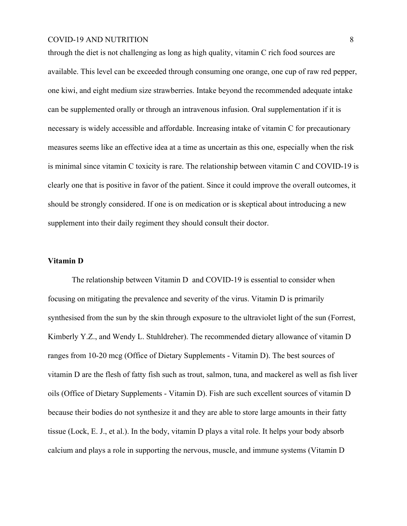through the diet is not challenging as long as high quality, vitamin C rich food sources are available. This level can be exceeded through consuming one orange, one cup of raw red pepper, one kiwi, and eight medium size strawberries. Intake beyond the recommended adequate intake can be supplemented orally or through an intravenous infusion. Oral supplementation if it is necessary is widely accessible and affordable. Increasing intake of vitamin C for precautionary measures seems like an effective idea at a time as uncertain as this one, especially when the risk is minimal since vitamin C toxicity is rare. The relationship between vitamin C and COVID-19 is clearly one that is positive in favor of the patient. Since it could improve the overall outcomes, it should be strongly considered. If one is on medication or is skeptical about introducing a new supplement into their daily regiment they should consult their doctor.

# **Vitamin D**

The relationship between Vitamin D and COVID-19 is essential to consider when focusing on mitigating the prevalence and severity of the virus. Vitamin D is primarily synthesised from the sun by the skin through exposure to the ultraviolet light of the sun (Forrest, Kimberly Y.Z., and Wendy L. Stuhldreher). The recommended dietary allowance of vitamin D ranges from 10-20 mcg (Office of Dietary Supplements - Vitamin D). The best sources of vitamin D are the flesh of fatty fish such as trout, salmon, tuna, and mackerel as well as fish liver oils (Office of Dietary Supplements - Vitamin D). Fish are such excellent sources of vitamin D because their bodies do not synthesize it and they are able to store large amounts in their fatty tissue (Lock, E. J., et al.). In the body, vitamin D plays a vital role. It helps your body absorb calcium and plays a role in supporting the nervous, muscle, and immune systems (Vitamin D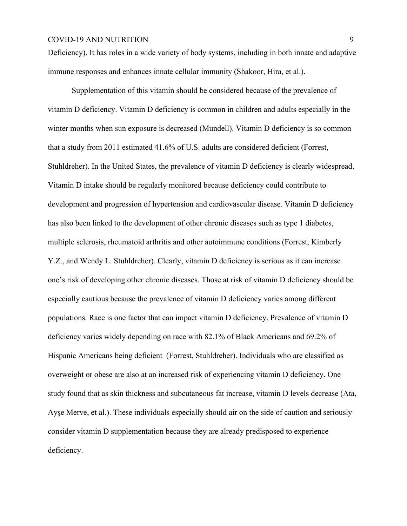Deficiency). It has roles in a wide variety of body systems, including in both innate and adaptive immune responses and enhances innate cellular immunity (Shakoor, Hira, et al.).

Supplementation of this vitamin should be considered because of the prevalence of vitamin D deficiency. Vitamin D deficiency is common in children and adults especially in the winter months when sun exposure is decreased (Mundell). Vitamin D deficiency is so common that [a study](https://www.sciencedirect.com/science/article/pii/S0271531710002599?via%3Dihub) from 2011 estimated 41.6% of U.S. adults are considered deficient (Forrest, [Stuhldreher\)](https://www.sciencedirect.com/science/article/pii/S0271531710002599?via%3Dihub#!). In the United States, the prevalence of vitamin D deficiency is clearly widespread. Vitamin D intake should be regularly monitored because deficiency could contribute to development and progression of hypertension and cardiovascular disease. Vitamin D deficiency has also been linked to the development of other chronic diseases such as type 1 diabetes, multiple sclerosis, rheumatoid arthritis and other autoimmune conditions (Forrest, Kimberly Y.Z., and Wendy L. Stuhldreher). Clearly, vitamin D deficiency is serious as it can increase one's risk of developing other chronic diseases. Those at risk of vitamin D deficiency should be especially cautious because the prevalence of vitamin D deficiency varies among different populations. Race is one factor that can impact vitamin D deficiency. Prevalence of vitamin D deficiency varies widely depending on race with 82.1% of Black Americans and 69.2% of Hispanic Americans being deficient (Forrest, [Stuhldreher](https://www.sciencedirect.com/science/article/pii/S0271531710002599?via%3Dihub#!)). Individuals who are classified as overweight or obese are also at an increased risk of experiencing vitamin D deficiency. One study found that as skin thickness and subcutaneous fat increase, vitamin D levels decrease (Ata, Ayşe Merve, et al.). These individuals especially should air on the side of caution and seriously consider vitamin D supplementation because they are already predisposed to experience deficiency.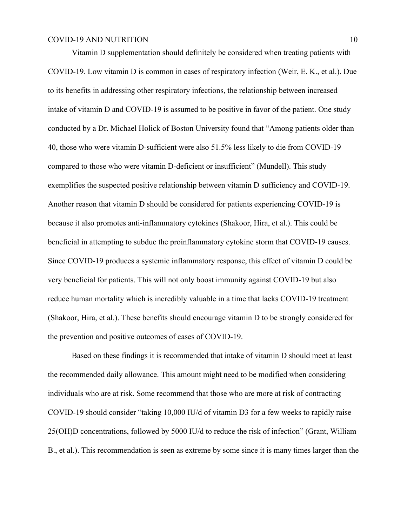Vitamin D supplementation should definitely be considered when treating patients with COVID-19. Low vitamin D is common in cases of respiratory infection (Weir, E. K., et al.). Due to its benefits in addressing other respiratory infections, the relationship between increased intake of vitamin D and COVID-19 is assumed to be positive in favor of the patient. One study conducted by a Dr. Michael Holick of Boston University found that "Among patients older than 40, those who were vitamin D-sufficient were also 51.5% less likely to die from COVID-19 compared to those who were vitamin D-deficient or insufficient" (Mundell). This study exemplifies the suspected positive relationship between vitamin D sufficiency and COVID-19. Another reason that vitamin D should be considered for patients experiencing COVID-19 is because it also promotes anti-inflammatory cytokines (Shakoor, Hira, et al.). This could be beneficial in attempting to subdue the proinflammatory cytokine storm that COVID-19 causes. Since COVID-19 produces a systemic inflammatory response, this effect of vitamin D could be very beneficial for patients. This will not only boost immunity against COVID-19 but also reduce human mortality which is incredibly valuable in a time that lacks COVID-19 treatment (Shakoor, Hira, et al.). These benefits should encourage vitamin D to be strongly considered for the prevention and positive outcomes of cases of COVID-19.

Based on these findings it is recommended that intake of vitamin D should meet at least the recommended daily allowance. This amount might need to be modified when considering individuals who are at risk. Some recommend that those who are more at risk of contracting COVID-19 should consider "taking 10,000 IU/d of vitamin D3 for a few weeks to rapidly raise 25(OH)D concentrations, followed by 5000 IU/d to reduce the risk of infection" (Grant, William B., et al.). This recommendation is seen as extreme by some since it is many times larger than the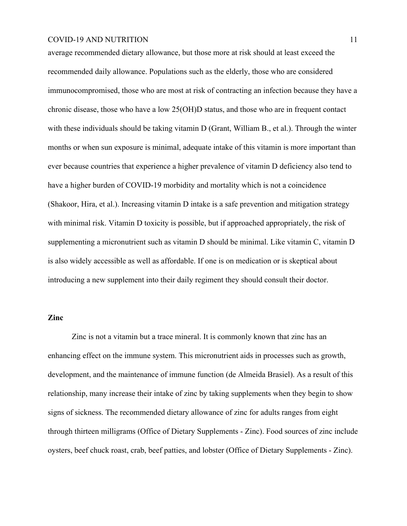average recommended dietary allowance, but those more at risk should at least exceed the recommended daily allowance. Populations such as the elderly, those who are considered immunocompromised, those who are most at risk of contracting an infection because they have a chronic disease, those who have a low 25(OH)D status, and those who are in frequent contact with these individuals should be taking vitamin D (Grant, William B, et al.). Through the winter months or when sun exposure is minimal, adequate intake of this vitamin is more important than ever because countries that experience a higher prevalence of vitamin D deficiency also tend to have a higher burden of COVID-19 morbidity and mortality which is not a coincidence (Shakoor, Hira, et al.). Increasing vitamin D intake is a safe prevention and mitigation strategy with minimal risk. Vitamin D toxicity is possible, but if approached appropriately, the risk of supplementing a micronutrient such as vitamin D should be minimal. Like vitamin C, vitamin D is also widely accessible as well as affordable. If one is on medication or is skeptical about introducing a new supplement into their daily regiment they should consult their doctor.

# **Zinc**

Zinc is not a vitamin but a trace mineral. It is commonly known that zinc has an enhancing effect on the immune system. This micronutrient aids in processes such as growth, development, and the maintenance of immune function (de Almeida Brasiel). As a result of this relationship, many increase their intake of zinc by taking supplements when they begin to show signs of sickness. The recommended dietary allowance of zinc for adults ranges from eight through thirteen milligrams (Office of Dietary Supplements - Zinc). Food sources of zinc include oysters, beef chuck roast, crab, beef patties, and lobster (Office of Dietary Supplements - Zinc).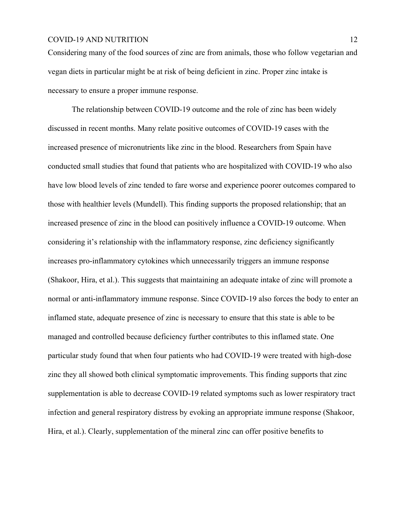Considering many of the food sources of zinc are from animals, those who follow vegetarian and vegan diets in particular might be at risk of being deficient in zinc. Proper zinc intake is necessary to ensure a proper immune response.

The relationship between COVID-19 outcome and the role of zinc has been widely discussed in recent months. Many relate positive outcomes of COVID-19 cases with the increased presence of micronutrients like zinc in the blood. Researchers from Spain have conducted small studies that found that patients who are hospitalized with COVID-19 who also have low blood levels of zinc tended to fare worse and experience poorer outcomes compared to those with healthier levels (Mundell). This finding supports the proposed relationship; that an increased presence of zinc in the blood can positively influence a COVID-19 outcome. When considering it's relationship with the inflammatory response, zinc deficiency significantly increases pro-inflammatory cytokines which unnecessarily triggers an immune response (Shakoor, Hira, et al.). This suggests that maintaining an adequate intake of zinc will promote a normal or anti-inflammatory immune response. Since COVID-19 also forces the body to enter an inflamed state, adequate presence of zinc is necessary to ensure that this state is able to be managed and controlled because deficiency further contributes to this inflamed state. One particular study found that when four patients who had COVID-19 were treated with high-dose zinc they all showed both clinical symptomatic improvements. This finding supports that zinc supplementation is able to decrease COVID-19 related symptoms such as lower respiratory tract infection and general respiratory distress by evoking an appropriate immune response (Shakoor, Hira, et al.). Clearly, supplementation of the mineral zinc can offer positive benefits to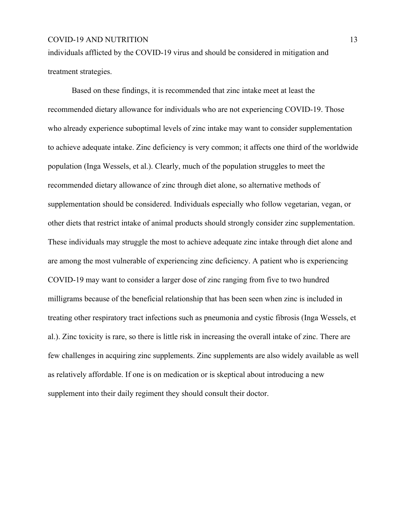individuals afflicted by the COVID-19 virus and should be considered in mitigation and treatment strategies.

Based on these findings, it is recommended that zinc intake meet at least the recommended dietary allowance for individuals who are not experiencing COVID-19. Those who already experience suboptimal levels of zinc intake may want to consider supplementation to achieve adequate intake. Zinc deficiency is very common; it affects one third of the worldwide population (Inga Wessels, et al.). Clearly, much of the population struggles to meet the recommended dietary allowance of zinc through diet alone, so alternative methods of supplementation should be considered. Individuals especially who follow vegetarian, vegan, or other diets that restrict intake of animal products should strongly consider zinc supplementation. These individuals may struggle the most to achieve adequate zinc intake through diet alone and are among the most vulnerable of experiencing zinc deficiency. A patient who is experiencing COVID-19 may want to consider a larger dose of zinc ranging from five to two hundred milligrams because of the beneficial relationship that has been seen when zinc is included in treating other respiratory tract infections such as pneumonia and cystic fibrosis (Inga Wessels, et al.). Zinc toxicity is rare, so there is little risk in increasing the overall intake of zinc. There are few challenges in acquiring zinc supplements. Zinc supplements are also widely available as well as relatively affordable. If one is on medication or is skeptical about introducing a new supplement into their daily regiment they should consult their doctor.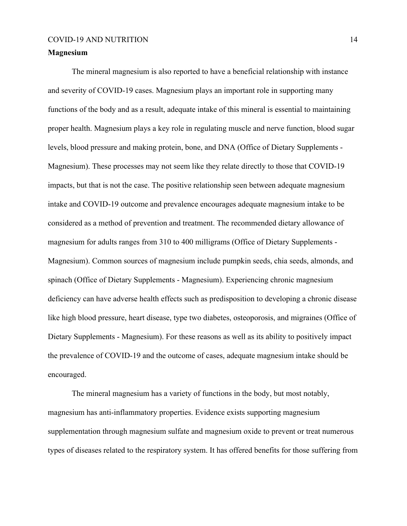# **Magnesium**

The mineral magnesium is also reported to have a beneficial relationship with instance and severity of COVID-19 cases. Magnesium plays an important role in supporting many functions of the body and as a result, adequate intake of this mineral is essential to maintaining proper health. Magnesium plays a key role in regulating muscle and [nerve](https://ods.od.nih.gov/factsheets/Magnesium-Consumer/#) function, [blood sugar](https://ods.od.nih.gov/factsheets/Magnesium-Consumer/#) levels, blood pressure and making [protein](https://ods.od.nih.gov/factsheets/Magnesium-Consumer/#), bone, and [DNA](https://ods.od.nih.gov/factsheets/Magnesium-Consumer/#) (Office of Dietary Supplements - Magnesium). These processes may not seem like they relate directly to those that COVID-19 impacts, but that is not the case. The positive relationship seen between adequate magnesium intake and COVID-19 outcome and prevalence encourages adequate magnesium intake to be considered as a method of prevention and treatment. The recommended dietary allowance of magnesium for adults ranges from 310 to 400 milligrams (Office of Dietary Supplements - Magnesium). Common sources of magnesium include pumpkin seeds, chia seeds, almonds, and spinach (Office of Dietary Supplements - Magnesium). Experiencing chronic magnesium deficiency can have adverse health effects such as predisposition to developing a chronic disease like high blood pressure, heart disease, type two diabetes, osteoporosis, and migraines (Office of Dietary Supplements - Magnesium). For these reasons as well as its ability to positively impact the prevalence of COVID-19 and the outcome of cases, adequate magnesium intake should be encouraged.

The mineral magnesium has a variety of functions in the body, but most notably, magnesium has anti-inflammatory properties. Evidence exists supporting magnesium supplementation through magnesium sulfate and magnesium oxide to prevent or treat numerous types of diseases related to the respiratory system. It has offered benefits for those suffering from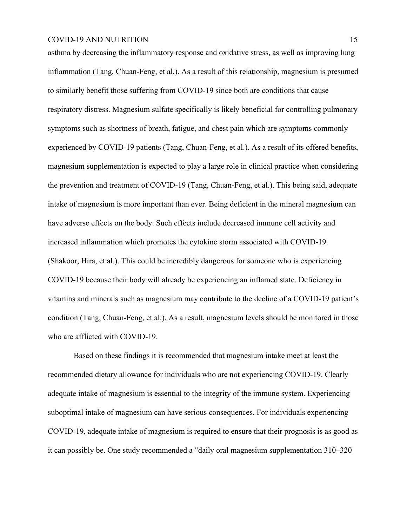asthma by decreasing the inflammatory response and oxidative stress, as well as improving lung inflammation (Tang, Chuan-Feng, et al.). As a result of this relationship, magnesium is presumed to similarly benefit those suffering from COVID-19 since both are conditions that cause respiratory distress. Magnesium sulfate specifically is likely beneficial for controlling pulmonary symptoms such as shortness of breath, fatigue, and chest pain which are symptoms commonly experienced by COVID-19 patients (Tang, Chuan-Feng, et al.). As a result of its offered benefits, magnesium supplementation is expected to play a large role in clinical practice when considering the prevention and treatment of COVID-19 (Tang, Chuan-Feng, et al.). This being said, adequate intake of magnesium is more important than ever. Being deficient in the mineral magnesium can have adverse effects on the body. Such effects include decreased immune cell activity and increased inflammation which promotes the cytokine storm associated with COVID-19. (Shakoor, Hira, et al.). This could be incredibly dangerous for someone who is experiencing COVID-19 because their body will already be experiencing an inflamed state. Deficiency in vitamins and minerals such as magnesium may contribute to the decline of a COVID-19 patient's condition (Tang, Chuan-Feng, et al.). As a result, magnesium levels should be monitored in those who are afflicted with COVID-19.

 Based on these findings it is recommended that magnesium intake meet at least the recommended dietary allowance for individuals who are not experiencing COVID-19. Clearly adequate intake of magnesium is essential to the integrity of the immune system. Experiencing suboptimal intake of magnesium can have serious consequences. For individuals experiencing COVID-19, adequate intake of magnesium is required to ensure that their prognosis is as good as it can possibly be. One study recommended a "daily oral magnesium supplementation 310–320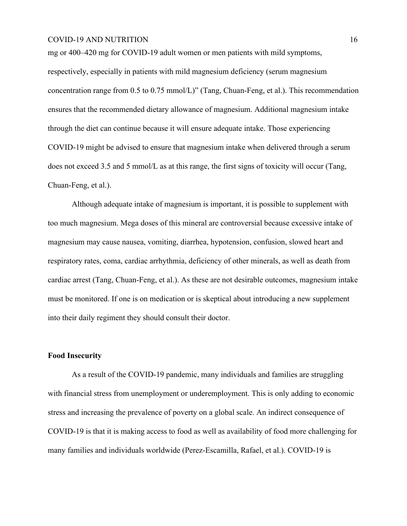mg or 400–420 mg for COVID-19 adult women or men patients with mild symptoms, respectively, especially in patients with mild magnesium deficiency (serum magnesium concentration range from 0.5 to 0.75 mmol/L)" (Tang, Chuan-Feng, et al.). This recommendation ensures that the recommended dietary allowance of magnesium. Additional magnesium intake through the diet can continue because it will ensure adequate intake. Those experiencing COVID-19 might be advised to ensure that magnesium intake when delivered through a serum does not exceed 3.5 and 5 mmol/L as at this range, the first signs of toxicity will occur (Tang, Chuan-Feng, et al.).

Although adequate intake of magnesium is important, it is possible to supplement with too much magnesium. Mega doses of this mineral are controversial because excessive intake of magnesium may cause nausea, vomiting, diarrhea, hypotension, confusion, slowed heart and respiratory rates, coma, cardiac arrhythmia, deficiency of other minerals, as well as death from cardiac arrest (Tang, Chuan-Feng, et al.). As these are not desirable outcomes, magnesium intake must be monitored. If one is on medication or is skeptical about introducing a new supplement into their daily regiment they should consult their doctor.

# **Food Insecurity**

As a result of the COVID-19 pandemic, many individuals and families are struggling with financial stress from unemployment or underemployment. This is only adding to economic stress and increasing the prevalence of poverty on a global scale. An indirect consequence of COVID-19 is that it is making access to food as well as availability of food more challenging for many families and individuals worldwide (Perez-Escamilla, Rafael, et al.). COVID-19 is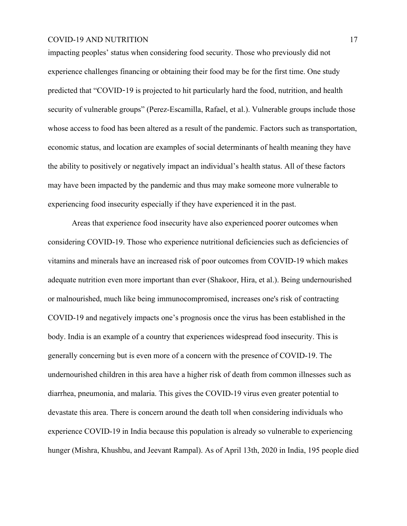impacting peoples' status when considering food security. Those who previously did not experience challenges financing or obtaining their food may be for the first time. One study predicted that "COVID-19 is projected to hit particularly hard the food, nutrition, and health security of vulnerable groups" (Perez-Escamilla, Rafael, et al.). Vulnerable groups include those whose access to food has been altered as a result of the pandemic. Factors such as transportation, economic status, and location are examples of social determinants of health meaning they have the ability to positively or negatively impact an individual's health status. All of these factors may have been impacted by the pandemic and thus may make someone more vulnerable to experiencing food insecurity especially if they have experienced it in the past.

Areas that experience food insecurity have also experienced poorer outcomes when considering COVID-19. Those who experience nutritional deficiencies such as deficiencies of vitamins and minerals have an increased risk of poor outcomes from COVID-19 which makes adequate nutrition even more important than ever (Shakoor, Hira, et al.). Being undernourished or malnourished, much like being immunocompromised, increases one's risk of contracting COVID-19 and negatively impacts one's prognosis once the virus has been established in the body. India is an example of a country that experiences widespread food insecurity. This is generally concerning but is even more of a concern with the presence of COVID-19. The undernourished children in this area have a higher risk of death from common illnesses such as diarrhea, pneumonia, and malaria. This gives the COVID-19 virus even greater potential to devastate this area. There is concern around the death toll when considering individuals who experience COVID-19 in India because this population is already so vulnerable to experiencing hunger (Mishra, Khushbu, and Jeevant Rampal). As of April 13th, 2020 in India, 195 people died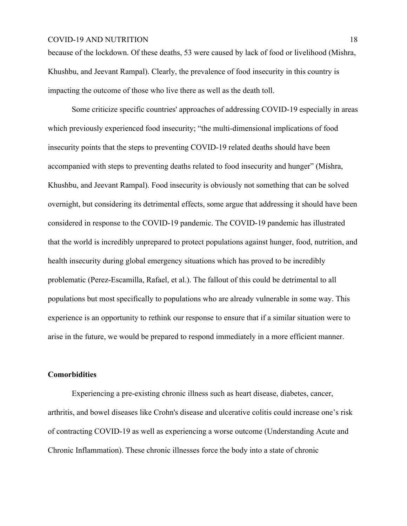because of the lockdown. Of these deaths, 53 were caused by lack of food or livelihood (Mishra, Khushbu, and Jeevant Rampal). Clearly, the prevalence of food insecurity in this country is impacting the outcome of those who live there as well as the death toll.

Some criticize specific countries' approaches of addressing COVID-19 especially in areas which previously experienced food insecurity; "the multi-dimensional implications of food insecurity points that the steps to preventing COVID-19 related deaths should have been accompanied with steps to preventing deaths related to food insecurity and hunger" (Mishra, Khushbu, and Jeevant Rampal). Food insecurity is obviously not something that can be solved overnight, but considering its detrimental effects, some argue that addressing it should have been considered in response to the COVID-19 pandemic. The COVID-19 pandemic has illustrated that the world is incredibly unprepared to protect populations against hunger, food, nutrition, and health insecurity during global emergency situations which has proved to be incredibly problematic (Perez-Escamilla, Rafael, et al.). The fallout of this could be detrimental to all populations but most specifically to populations who are already vulnerable in some way. This experience is an opportunity to rethink our response to ensure that if a similar situation were to arise in the future, we would be prepared to respond immediately in a more efficient manner.

# **Comorbidities**

Experiencing a pre-existing chronic illness such as heart disease, diabetes, cancer, arthritis, and bowel diseases like Crohn's disease and ulcerative colitis could increase one's risk of contracting COVID-19 as well as experiencing a worse outcome (Understanding Acute and Chronic Inflammation). These chronic illnesses force the body into a state of chronic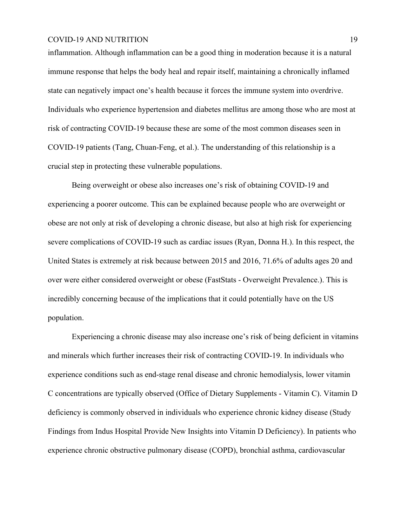inflammation. Although inflammation can be a good thing in moderation because it is a natural immune response that helps the body heal and repair itself, maintaining a chronically inflamed state can negatively impact one's health because it forces the immune system into overdrive. Individuals who experience hypertension and diabetes mellitus are among those who are most at risk of contracting COVID-19 because these are some of the most common diseases seen in COVID-19 patients (Tang, Chuan-Feng, et al.). The understanding of this relationship is a crucial step in protecting these vulnerable populations.

Being overweight or obese also increases one's risk of obtaining COVID-19 and experiencing a poorer outcome. This can be explained because people who are overweight or obese are not only at risk of developing a chronic disease, but also at high risk for experiencing severe complications of COVID-19 such as cardiac issues (Ryan, Donna H.). In this respect, the United States is extremely at risk because between 2015 and 2016, 71.6% of adults ages 20 and over were either considered overweight or obese (FastStats - Overweight Prevalence.). This is incredibly concerning because of the implications that it could potentially have on the US population.

Experiencing a chronic disease may also increase one's risk of being deficient in vitamins and minerals which further increases their risk of contracting COVID-19. In individuals who experience conditions such as end-stage renal disease and chronic hemodialysis, lower vitamin C concentrations are typically observed (Office of Dietary Supplements - Vitamin C). Vitamin D deficiency is commonly observed in individuals who experience chronic kidney disease (Study Findings from Indus Hospital Provide New Insights into Vitamin D Deficiency). In patients who experience chronic obstructive pulmonary disease (COPD), bronchial asthma, cardiovascular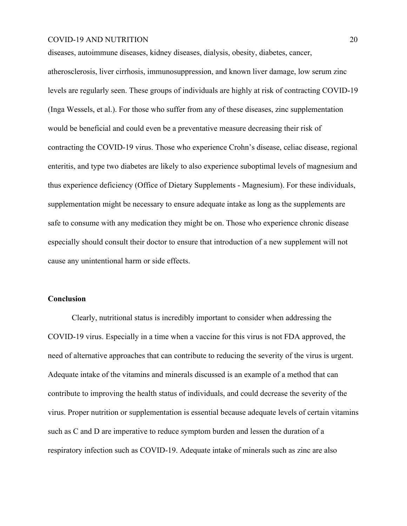diseases, autoimmune diseases, kidney diseases, dialysis, obesity, diabetes, cancer, atherosclerosis, liver cirrhosis, immunosuppression, and known liver damage, low serum zinc levels are regularly seen. These groups of individuals are highly at risk of contracting COVID-19 (Inga Wessels, et al.). For those who suffer from any of these diseases, zinc supplementation would be beneficial and could even be a preventative measure decreasing their risk of contracting the COVID-19 virus. Those who experience Crohn's disease, celiac disease, regional enteritis, and type two diabetes are likely to also experience suboptimal levels of magnesium and thus experience deficiency (Office of Dietary Supplements - Magnesium). For these individuals, supplementation might be necessary to ensure adequate intake as long as the supplements are safe to consume with any medication they might be on. Those who experience chronic disease especially should consult their doctor to ensure that introduction of a new supplement will not cause any unintentional harm or side effects.

# **Conclusion**

Clearly, nutritional status is incredibly important to consider when addressing the COVID-19 virus. Especially in a time when a vaccine for this virus is not FDA approved, the need of alternative approaches that can contribute to reducing the severity of the virus is urgent. Adequate intake of the vitamins and minerals discussed is an example of a method that can contribute to improving the health status of individuals, and could decrease the severity of the virus. Proper nutrition or supplementation is essential because adequate levels of certain vitamins such as C and D are imperative to reduce symptom burden and lessen the duration of a respiratory infection such as COVID-19. Adequate intake of minerals such as zinc are also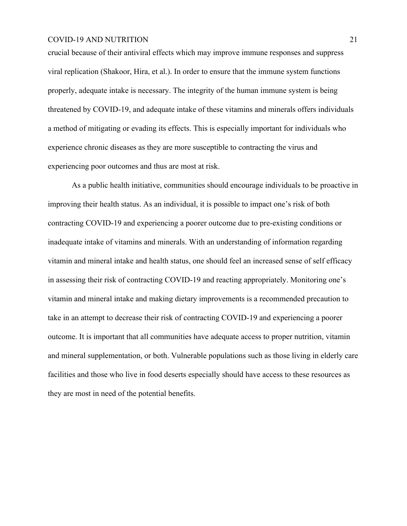crucial because of their antiviral effects which may improve immune responses and suppress viral replication (Shakoor, Hira, et al.). In order to ensure that the immune system functions properly, adequate intake is necessary. The integrity of the human immune system is being threatened by COVID-19, and adequate intake of these vitamins and minerals offers individuals a method of mitigating or evading its effects. This is especially important for individuals who experience chronic diseases as they are more susceptible to contracting the virus and experiencing poor outcomes and thus are most at risk.

As a public health initiative, communities should encourage individuals to be proactive in improving their health status. As an individual, it is possible to impact one's risk of both contracting COVID-19 and experiencing a poorer outcome due to pre-existing conditions or inadequate intake of vitamins and minerals. With an understanding of information regarding vitamin and mineral intake and health status, one should feel an increased sense of self efficacy in assessing their risk of contracting COVID-19 and reacting appropriately. Monitoring one's vitamin and mineral intake and making dietary improvements is a recommended precaution to take in an attempt to decrease their risk of contracting COVID-19 and experiencing a poorer outcome. It is important that all communities have adequate access to proper nutrition, vitamin and mineral supplementation, or both. Vulnerable populations such as those living in elderly care facilities and those who live in food deserts especially should have access to these resources as they are most in need of the potential benefits.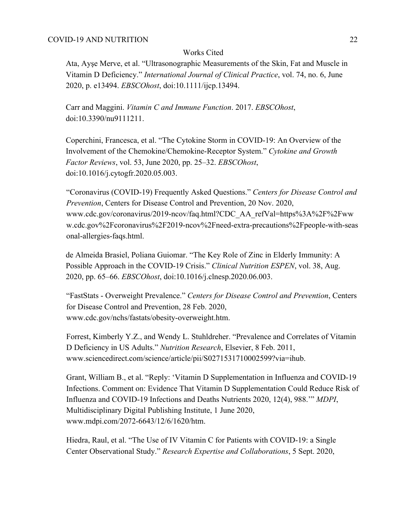# Works Cited

Ata, Ayşe Merve, et al. "Ultrasonographic Measurements of the Skin, Fat and Muscle in Vitamin D Deficiency." *International Journal of Clinical Practice*, vol. 74, no. 6, June 2020, p. e13494. *EBSCOhost*, doi:10.1111/ijcp.13494.

Carr and Maggini. *Vitamin C and Immune Function*. 2017. *EBSCOhost*, doi:10.3390/nu9111211.

Coperchini, Francesca, et al. "The Cytokine Storm in COVID-19: An Overview of the Involvement of the Chemokine/Chemokine-Receptor System." *Cytokine and Growth Factor Reviews*, vol. 53, June 2020, pp. 25–32. *EBSCOhost*, doi:10.1016/j.cytogfr.2020.05.003.

"Coronavirus (COVID-19) Frequently Asked Questions." *Centers for Disease Control and Prevention*, Centers for Disease Control and Prevention, 20 Nov. 2020, www.cdc.gov/coronavirus/2019-ncov/faq.html?CDC\_AA\_refVal=https%3A%2F%2Fww w.cdc.gov%2Fcoronavirus%2F2019-ncov%2Fneed-extra-precautions%2Fpeople-with-seas onal-allergies-faqs.html.

de Almeida Brasiel, Poliana Guiomar. "The Key Role of Zinc in Elderly Immunity: A Possible Approach in the COVID-19 Crisis." *Clinical Nutrition ESPEN*, vol. 38, Aug. 2020, pp. 65–66. *EBSCOhost*, doi:10.1016/j.clnesp.2020.06.003.

"FastStats - Overweight Prevalence." *Centers for Disease Control and Prevention*, Centers for Disease Control and Prevention, 28 Feb. 2020, www.cdc.gov/nchs/fastats/obesity-overweight.htm.

Forrest, Kimberly Y.Z., and Wendy L. Stuhldreher. "Prevalence and Correlates of Vitamin D Deficiency in US Adults." *Nutrition Research*, Elsevier, 8 Feb. 2011, www.sciencedirect.com/science/article/pii/S0271531710002599?via=ihub.

Grant, William B., et al. "Reply: 'Vitamin D Supplementation in Influenza and COVID-19 Infections. Comment on: Evidence That Vitamin D Supplementation Could Reduce Risk of Influenza and COVID-19 Infections and Deaths Nutrients 2020, 12(4), 988.'" *MDPI*, Multidisciplinary Digital Publishing Institute, 1 June 2020, www.mdpi.com/2072-6643/12/6/1620/htm.

Hiedra, Raul, et al. "The Use of IV Vitamin C for Patients with COVID-19: a Single Center Observational Study." *Research Expertise and Collaborations*, 5 Sept. 2020,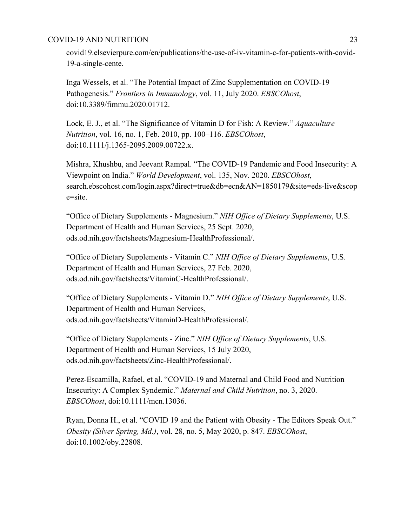covid19.elsevierpure.com/en/publications/the-use-of-iv-vitamin-c-for-patients-with-covid-19-a-single-cente.

Inga Wessels, et al. "The Potential Impact of Zinc Supplementation on COVID-19 Pathogenesis." *Frontiers in Immunology*, vol. 11, July 2020. *EBSCOhost*, doi:10.3389/fimmu.2020.01712.

Lock, E. J., et al. "The Significance of Vitamin D for Fish: A Review." *Aquaculture Nutrition*, vol. 16, no. 1, Feb. 2010, pp. 100–116. *EBSCOhost*, doi:10.1111/j.1365-2095.2009.00722.x.

Mishra, Khushbu, and Jeevant Rampal. "The COVID-19 Pandemic and Food Insecurity: A Viewpoint on India." *World Development*, vol. 135, Nov. 2020. *EBSCOhost*, search.ebscohost.com/login.aspx?direct=true&db=ecn&AN=1850179&site=eds-live&scop e=site.

"Office of Dietary Supplements - Magnesium." *NIH Office of Dietary Supplements*, U.S. Department of Health and Human Services, 25 Sept. 2020, ods.od.nih.gov/factsheets/Magnesium-HealthProfessional/.

"Office of Dietary Supplements - Vitamin C." *NIH Office of Dietary Supplements*, U.S. Department of Health and Human Services, 27 Feb. 2020, ods.od.nih.gov/factsheets/VitaminC-HealthProfessional/.

"Office of Dietary Supplements - Vitamin D." *NIH Office of Dietary Supplements*, U.S. Department of Health and Human Services, ods.od.nih.gov/factsheets/VitaminD-HealthProfessional/.

"Office of Dietary Supplements - Zinc." *NIH Office of Dietary Supplements*, U.S. Department of Health and Human Services, 15 July 2020, ods.od.nih.gov/factsheets/Zinc-HealthProfessional/.

Perez-Escamilla, Rafael, et al. "COVID-19 and Maternal and Child Food and Nutrition Insecurity: A Complex Syndemic." *Maternal and Child Nutrition*, no. 3, 2020. *EBSCOhost*, doi:10.1111/mcn.13036.

Ryan, Donna H., et al. "COVID 19 and the Patient with Obesity - The Editors Speak Out." *Obesity (Silver Spring, Md.)*, vol. 28, no. 5, May 2020, p. 847. *EBSCOhost*, doi:10.1002/oby.22808.